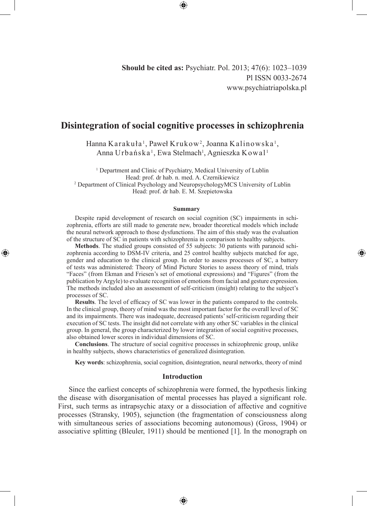**Should be cited as:** Psychiatr. Pol. 2013; 47(6): 1023–1039 Pl ISSN 0033-2674 www.psychiatriapolska.pl

◈

# **Disintegration of social cognitive processes in schizophrenia**

Hanna Karakuła<sup>1</sup>, Paweł Krukow<sup>2</sup>, Joanna Kalinowska<sup>1</sup>, Anna Urbańska<sup>1</sup>, Ewa Stelmach<sup>1</sup>, Agnieszka Kowal<sup>1</sup>

<sup>1</sup> Department and Clinic of Psychiatry, Medical University of Lublin Head: prof. dr hab. n. med. A. Czernikiewicz 2 Department of Clinical Psychology and NeuropsychologyMCS University of Lublin Head: prof. dr hab. E. M. Szepietowska

### **Summary**

Despite rapid development of research on social cognition (SC) impairments in schizophrenia, efforts are still made to generate new, broader theoretical models which include the neural network approach to those dysfunctions. The aim of this study was the evaluation of the structure of SC in patients with schizophrenia in comparison to healthy subjects.

◈

**Methods**. The studied groups consisted of 55 subjects: 30 patients with paranoid schizophrenia according to DSM-IV criteria, and 25 control healthy subjects matched for age, gender and education to the clinical group. In order to assess processes of SC, a battery of tests was administered: Theory of Mind Picture Stories to assess theory of mind, trials "Faces" (from Ekman and Friesen's set of emotional expressions) and "Figures" (from the publication by Argyle) to evaluate recognition of emotions from facial and gesture expression. The methods included also an assessment of self-criticism (insight) relating to the subject's processes of SC.

**Results**. The level of efficacy of SC was lower in the patients compared to the controls. In the clinical group, theory of mind was the most important factor for the overall level of SC and its impairments. There was inadequate, decreased patients' self-criticism regarding their execution of SC tests. The insight did not correlate with any other SC variables in the clinical group. In general, the group characterized by lower integration of social cognitive processes, also obtained lower scores in individual dimensions of SC.

**Conclusions**. The structure of social cognitive processes in schizophrenic group, unlike in healthy subjects, shows characteristics of generalized disintegration.

**Key words**: schizophrenia, social cognition, disintegration, neural networks, theory of mind

## **Introduction**

Since the earliest concepts of schizophrenia were formed, the hypothesis linking the disease with disorganisation of mental processes has played a significant role. First, such terms as intrapsychic ataxy or a dissociation of affective and cognitive processes (Stransky, 1905), sejunction (the fragmentation of consciousness along with simultaneous series of associations becoming autonomous) (Gross, 1904) or associative splitting (Bleuler, 1911) should be mentioned [1]. In the monograph on

⊕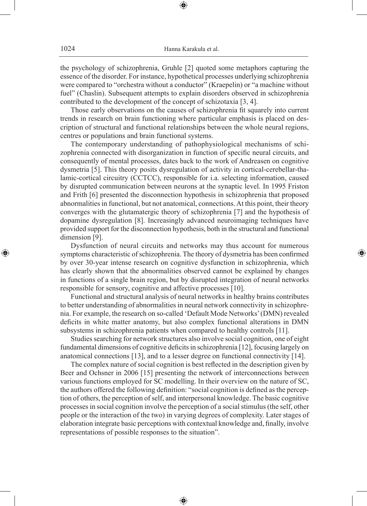the psychology of schizophrenia, Gruhle [2] quoted some metaphors capturing the essence of the disorder. For instance, hypothetical processes underlying schizophrenia were compared to "orchestra without a conductor" (Kraepelin) or "a machine without fuel" (Chaslin). Subsequent attempts to explain disorders observed in schizophrenia contributed to the development of the concept of schizotaxia [3, 4].

Those early observations on the causes of schizophrenia fit squarely into current trends in research on brain functioning where particular emphasis is placed on description of structural and functional relationships between the whole neural regions, centres or populations and brain functional systems.

The contemporary understanding of pathophysiological mechanisms of schizophrenia connected with disorganization in function of specific neural circuits, and consequently of mental processes, dates back to the work of Andreasen on cognitive dysmetria [5]. This theory posits dysregulation of activity in cortical-cerebellar-thalamic-cortical circuitry (CCTCC), responsible for i.a. selecting information, caused by disrupted communication between neurons at the synaptic level. In 1995 Friston and Frith [6] presented the disconnection hypothesis in schizophrenia that proposed abnormalities in functional, but not anatomical, connections. At this point, their theory converges with the glutamatergic theory of schizophrenia [7] and the hypothesis of dopamine dysregulation [8]. Increasingly advanced neuroimaging techniques have provided support for the disconnection hypothesis, both in the structural and functional dimension [9].

Dysfunction of neural circuits and networks may thus account for numerous symptoms characteristic of schizophrenia. The theory of dysmetria has been confirmed by over 30-year intense research on cognitive dysfunction in schizophrenia, which has clearly shown that the abnormalities observed cannot be explained by changes in functions of a single brain region, but by disrupted integration of neural networks responsible for sensory, cognitive and affective processes [10].

◈

Functional and structural analysis of neural networks in healthy brains contributes to better understanding of abnormalities in neural network connectivity in schizophrenia. For example, the research on so-called 'Default Mode Networks' (DMN) revealed deficits in white matter anatomy, but also complex functional alterations in DMN subsystems in schizophrenia patients when compared to healthy controls [11].

Studies searching for network structures also involve social cognition, one of eight fundamental dimensions of cognitive deficits in schizophrenia [12], focusing largely on anatomical connections [13], and to a lesser degree on functional connectivity [14].

The complex nature of social cognition is best reflected in the description given by Beer and Ochsner in 2006 [15] presenting the network of interconnections between various functions employed for SC modelling. In their overview on the nature of SC, the authors offered the following definition: "social cognition is defined as the perception of others, the perception of self, and interpersonal knowledge. The basic cognitive processes in social cognition involve the perception of a social stimulus (the self, other people or the interaction of the two) in varying degrees of complexity. Later stages of elaboration integrate basic perceptions with contextual knowledge and, finally, involve representations of possible responses to the situation".

⊕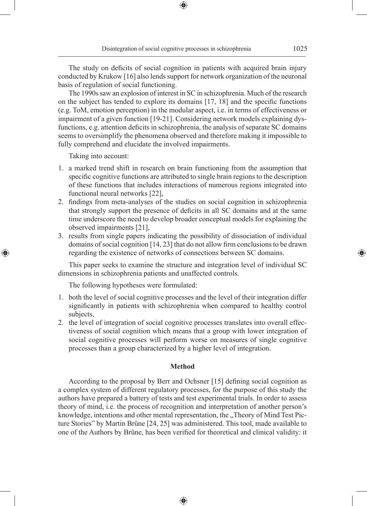The study on deficits of social cognition in patients with acquired brain injury conducted by Krukow [16] also lends support for network organization of the neuronal basis of regulation of social functioning.

⊕

The 1990s saw an explosion of interest in SC in schizophrenia. Much of the research on the subject has tended to explore its domains [17, 18] and the specific functions (e.g. ToM, emotion perception) in the modular aspect, i.e. in terms of effectiveness or impairment of a given function [19-21]. Considering network models explaining dysfunctions, e.g. attention deficits in schizophrenia, the analysis of separate SC domains seems to oversimplify the phenomena observed and therefore making it impossible to fully comprehend and elucidate the involved impairments.

Taking into account:

◈

- 1. a marked trend shift in research on brain functioning from the assumption that specific cognitive functions are attributed to single brain regions to the description of these functions that includes interactions of numerous regions integrated into functional neural networks [22],
- 2. findings from meta-analyses of the studies on social cognition in schizophrenia that strongly support the presence of deficits in all SC domains and at the same time underscore the need to develop broader conceptual models for explaining the observed impairments [21],
- 3. results from single papers indicating the possibility of dissociation of individual domains of social cognition [14, 23] that do not allow firm conclusions to be drawn regarding the existence of networks of connections between SC domains.

This paper seeks to examine the structure and integration level of individual SC dimensions in schizophrenia patients and unaffected controls.

The following hypotheses were formulated:

- 1. both the level of social cognitive processes and the level of their integration differ significantly in patients with schizophrenia when compared to healthy control subjects,
- 2. the level of integration of social cognitive processes translates into overall effectiveness of social cognition which means that a group with lower integration of social cognitive processes will perform worse on measures of single cognitive processes than a group characterized by a higher level of integration.

# **Method**

According to the proposal by Berr and Ochsner [15] defining social cognition as a complex system of different regulatory processes, for the purpose of this study the authors have prepared a battery of tests and test experimental trials. In order to assess theory of mind, i.e. the process of recognition and interpretation of another person's knowledge, intentions and other mental representation, the "Theory of Mind Test Picture Stories" by Martin Brüne [24, 25] was administered. This tool, made available to one of the Authors by Brüne, has been verified for theoretical and clinical validity: it

⊕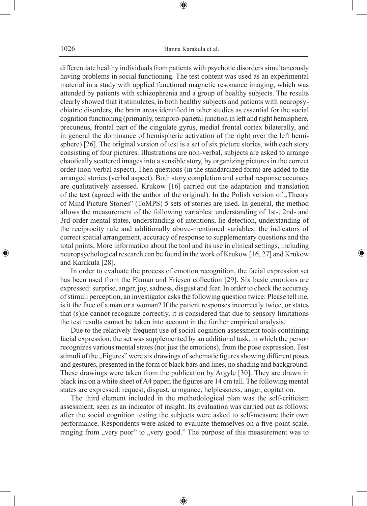differentiate healthy individuals from patients with psychotic disorders simultaneously having problems in social functioning. The test content was used as an experimental material in a study with applied functional magnetic resonance imaging, which was attended by patients with schizophrenia and a group of healthy subjects. The results clearly showed that it stimulates, in both healthy subjects and patients with neuropsychiatric disorders, the brain areas identified in other studies as essential for the social cognition functioning (primarily, temporo-parietal junction in left and right hemisphere, precuneus, frontal part of the cingulate gyrus, medial frontal cortex bilaterally, and in general the dominance of hemispheric activation of the right over the left hemisphere) [26]. The original version of test is a set of six picture stories, with each story consisting of four pictures. Illustrations are non-verbal, subjects are asked to arrange chaotically scattered images into a sensible story, by organizing pictures in the correct order (non-verbal aspect). Then questions (in the standardized form) are added to the arranged stories (verbal aspect). Both story completion and verbal response accuracy are qualitatively assessed. Krukow [16] carried out the adaptation and translation of the test (agreed with the author of the original). In the Polish version of "Theory of Mind Picture Stories" (ToMPS) 5 sets of stories are used. In general, the method allows the measurement of the following variables: understanding of 1st-, 2nd- and 3rd-order mental states, understanding of intentions, lie detection, understanding of the reciprocity rule and additionally above-mentioned variables: the indicators of correct spatial arrangement, accuracy of response to supplementary questions and the total points. More information about the tool and its use in clinical settings, including neuropsychological research can be found in the work of Krukow [16, 27] and Krukow and Karakuła [28].

In order to evaluate the process of emotion recognition, the facial expression set has been used from the Ekman and Friesen collection [29]. Six basic emotions are expressed: surprise, anger, joy, sadness, disgust and fear. In order to check the accuracy of stimuli perception, an investigator asks the following question twice: Please tell me, is it the face of a man or a woman? If the patient responses incorrectly twice, or states that (s)he cannot recognize correctly, it is considered that due to sensory limitations the test results cannot be taken into account in the further empirical analysis.

◈

Due to the relatively frequent use of social cognition assessment tools containing facial expression, the set was supplemented by an additional task, in which the person recognizes various mental states (not just the emotions), from the pose expression. Test stimuli of the "Figures" were six drawings of schematic figures showing different poses and gestures, presented in the form of black bars and lines, no shading and background. These drawings were taken from the publication by Argyle [30]. They are drawn in black ink on a white sheet of A4 paper, the figures are 14 cm tall. The following mental states are expressed: request, disgust, arrogance, helplessness, anger, cogitation.

The third element included in the methodological plan was the self-criticism assessment, seen as an indicator of insight. Its evaluation was carried out as follows: after the social cognition testing the subjects were asked to self-measure their own performance. Respondents were asked to evaluate themselves on a five-point scale, ranging from "very poor" to "very good." The purpose of this measurement was to

⊕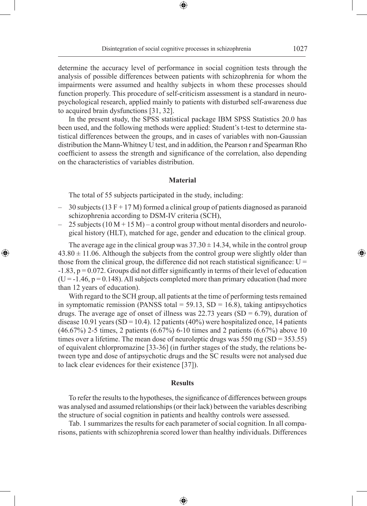Disintegration of social cognitive processes in schizophrenia 1027

⊕

determine the accuracy level of performance in social cognition tests through the analysis of possible differences between patients with schizophrenia for whom the impairments were assumed and healthy subjects in whom these processes should function properly. This procedure of self-criticism assessment is a standard in neuropsychological research, applied mainly to patients with disturbed self-awareness due to acquired brain dysfunctions [31, 32].

In the present study, the SPSS statistical package IBM SPSS Statistics 20.0 has been used, and the following methods were applied: Student's t-test to determine statistical differences between the groups, and in cases of variables with non-Gaussian distribution the Mann-Whitney U test, and in addition, the Pearson r and Spearman Rho coefficient to assess the strength and significance of the correlation, also depending on the characteristics of variables distribution.

# **Material**

The total of 55 subjects participated in the study, including:

◈

- $-$  30 subjects (13 F + 17 M) formed a clinical group of patients diagnosed as paranoid schizophrenia according to DSM-IV criteria (SCH),
- $-$  25 subjects (10 M + 15 M) a control group without mental disorders and neurological history (HLT), matched for age, gender and education to the clinical group.

The average age in the clinical group was  $37.30 \pm 14.34$ , while in the control group  $43.80 \pm 11.06$ . Although the subjects from the control group were slightly older than those from the clinical group, the difference did not reach statistical significance:  $U =$ -1.83, p = 0.072. Groups did not differ significantly in terms of their level of education  $(U = -1.46, p = 0.148)$ . All subjects completed more than primary education (had more than 12 years of education).

With regard to the SCH group, all patients at the time of performing tests remained in symptomatic remission (PANSS total =  $59.13$ , SD = 16.8), taking antipsychotics drugs. The average age of onset of illness was  $22.73$  years (SD = 6.79), duration of disease 10.91 years (SD = 10.4). 12 patients (40%) were hospitalized once, 14 patients (46.67%) 2-5 times, 2 patients (6.67%) 6-10 times and 2 patients (6.67%) above 10 times over a lifetime. The mean dose of neuroleptic drugs was 550 mg (SD = 353.55) of equivalent chlorpromazine [33-36] (in further stages of the study, the relations between type and dose of antipsychotic drugs and the SC results were not analysed due to lack clear evidences for their existence [37]).

### **Results**

To refer the results to the hypotheses, the significance of differences between groups was analysed and assumed relationships (or their lack) between the variables describing the structure of social cognition in patients and healthy controls were assessed.

Tab. 1 summarizes the results for each parameter of social cognition. In all comparisons, patients with schizophrenia scored lower than healthy individuals. Differences

⊕

⊕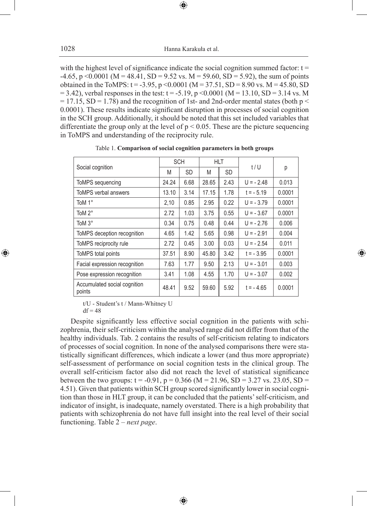with the highest level of significance indicate the social cognition summed factor:  $t =$  $-4.65$ , p <0.0001 (M = 48.41, SD = 9.52 vs. M = 59.60, SD = 5.92), the sum of points obtained in the ToMPS:  $t = -3.95$ , p <0.0001 (M = 37.51, SD = 8.90 vs. M = 45.80, SD  $= 3.42$ ), verbal responses in the test: t = -5.19, p <0.0001 (M = 13.10, SD = 3.14 vs. M  $= 17.15$ , SD = 1.78) and the recognition of 1st- and 2nd-order mental states (both p < 0.0001). These results indicate significant disruption in processes of social cognition in the SCH group. Additionally, it should be noted that this set included variables that differentiate the group only at the level of  $p < 0.05$ . These are the picture sequencing in ToMPS and understanding of the reciprocity rule.

|                                        | <b>SCH</b> |           | HLT   |           | t/U         |        |  |
|----------------------------------------|------------|-----------|-------|-----------|-------------|--------|--|
| Social cognition                       | M          | <b>SD</b> | M     | <b>SD</b> |             | р      |  |
| ToMPS sequencing                       | 24.24      | 6.68      | 28.65 | 2.43      | $U = -2.48$ | 0.013  |  |
| ToMPS verbal answers                   | 13.10      | 3.14      | 17.15 | 1.78      | $t = -5.19$ | 0.0001 |  |
| ToM 1°                                 | 2,10       | 0.85      | 2.95  | 0.22      | $U = -3.79$ | 0.0001 |  |
| ToM 2°                                 | 2.72       | 1.03      | 3.75  | 0.55      | $U = -3.67$ | 0.0001 |  |
| ToM 3°                                 | 0.34       | 0.75      | 0.48  | 0.44      | $U = -2.76$ | 0.006  |  |
| ToMPS deception recognition            | 4.65       | 1.42      | 5.65  | 0.98      | $U = -2.91$ | 0.004  |  |
| ToMPS reciprocity rule                 | 2.72       | 0.45      | 3.00  | 0.03      | $U = -2.54$ | 0.011  |  |
| ToMPS total points                     | 37.51      | 8.90      | 45.80 | 3.42      | $t = -3.95$ | 0.0001 |  |
| Facial expression recognition          | 7.63       | 1.77      | 9.50  | 2.13      | $U = -3.01$ | 0.003  |  |
| Pose expression recognition            | 3.41       | 1.08      | 4.55  | 1.70      | $U = -3.07$ | 0.002  |  |
| Accumulated social cognition<br>points | 48.41      | 9.52      | 59.60 | 5.92      | $t = -4.65$ | 0.0001 |  |

◈

Table 1. **Comparison of social cognition parameters in both groups**

t/U - Student's t / Mann-Whitney U

 $df = 48$ 

◈

Despite significantly less effective social cognition in the patients with schizophrenia, their self-criticism within the analysed range did not differ from that of the healthy individuals. Tab. 2 contains the results of self-criticism relating to indicators of processes of social cognition. In none of the analysed comparisons there were statistically significant differences, which indicate a lower (and thus more appropriate) self-assessment of performance on social cognition tests in the clinical group. The overall self-criticism factor also did not reach the level of statistical significance between the two groups:  $t = -0.91$ ,  $p = 0.366$  (M = 21.96, SD = 3.27 vs. 23.05, SD = 4.51). Given that patients within SCH group scored significantly lower in social cognition than those in HLT group, it can be concluded that the patients' self-criticism, and indicator of insight, is inadequate, namely overstated. There is a high probability that patients with schizophrenia do not have full insight into the real level of their social functioning. Table 2 – *next page*.

⊕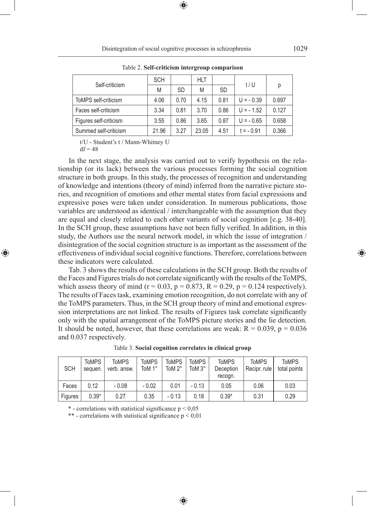| Self-criticism         | <b>SCH</b> |           | HLT   |           | t/U         |       |  |
|------------------------|------------|-----------|-------|-----------|-------------|-------|--|
|                        | M          | <b>SD</b> | M     | <b>SD</b> |             | р     |  |
| ToMPS self-criticism   | 4.06       | 0.70      | 4.15  | 0.81      | $U = -0.39$ | 0.697 |  |
| Faces self-criticism   | 3.34       | 0.81      | 3.70  | 0.86      | $U = -1.52$ | 0.127 |  |
| Figures self-criticism | 3.55       | 0.86      | 3.65  | 0.87      | $U = -0.65$ | 0.658 |  |
| Summed self-criticism  | 21.96      | 3.27      | 23.05 | 4.51      | $t = -0.91$ | 0.366 |  |

Table 2. **Self-criticism intergroup comparison**

t/U - Student's t / Mann-Whitney U

 $df = 48$ 

◈

In the next stage, the analysis was carried out to verify hypothesis on the relationship (or its lack) between the various processes forming the social cognition structure in both groups. In this study, the processes of recognition and understanding of knowledge and intentions (theory of mind) inferred from the narrative picture stories, and recognition of emotions and other mental states from facial expressions and expressive poses were taken under consideration. In numerous publications, those variables are understood as identical / interchangeable with the assumption that they are equal and closely related to each other variants of social cognition [e.g. 38-40]. In the SCH group, these assumptions have not been fully verified. In addition, in this study, the Authors use the neural network model, in which the issue of integration / disintegration of the social cognition structure is as important as the assessment of the effectiveness of individual social cognitive functions. Therefore, correlations between these indicators were calculated.

Tab. 3 shows the results of these calculations in the SCH group. Both the results of the Faces and Figures trials do not correlate significantly with the results of the ToMPS, which assess theory of mind ( $r = 0.03$ ,  $p = 0.873$ ,  $R = 0.29$ ,  $p = 0.124$  respectively). The results of Faces task, examining emotion recognition, do not correlate with any of the ToMPS parameters. Thus, in the SCH group theory of mind and emotional expression interpretations are not linked. The results of Figures task correlate significantly only with the spatial arrangement of the ToMPS picture stories and the lie detection. It should be noted, however, that these correlations are weak:  $R = 0.039$ ,  $p = 0.036$ and 0.037 respectively.

| <b>SCH</b> | <b>ToMPS</b><br>sequen. | <b>ToMPS</b><br>verb. answ. | <b>ToMPS</b><br>ToM 1° | <b>ToMPS</b><br>ToM 2° | ToMPS<br>ToM 3° | <b>ToMPS</b><br>Deception<br>recogn. | <b>ToMPS</b><br>Recipr. rule | <b>ToMPS</b><br>total points |
|------------|-------------------------|-----------------------------|------------------------|------------------------|-----------------|--------------------------------------|------------------------------|------------------------------|
| Faces      | 0.12                    | $-0.08$                     | $-0.02$                | 0.01                   | $-0.13$         | 0.05                                 | 0.06                         | 0.03                         |
| Figures    | $0.39*$                 | 0.27                        | 0.35                   | $-0.13$                | 0.18            | $0.39*$                              | 0.31                         | 0.29                         |

⊕

Table 3. **Social cognition correlates in clinical group**

 $*$  - correlations with statistical significance  $p < 0.05$ 

\*\* - correlations with statistical significance  $p < 0.01$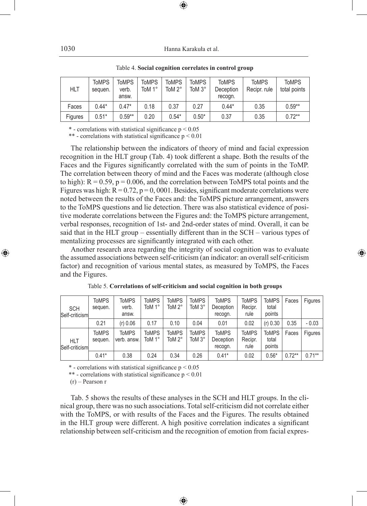1030 Hanna Karakuła et al.

| <b>HLT</b> | <b>ToMPS</b><br>sequen. | <b>ToMPS</b><br>verb.<br>answ. | <b>ToMPS</b><br>ToM 1° | <b>ToMPS</b><br>ToM 2° | <b>ToMPS</b><br>ToM 3° | <b>ToMPS</b><br>Deception<br>recogn. | <b>ToMPS</b><br>Recipr, rule | <b>ToMPS</b><br>total points |
|------------|-------------------------|--------------------------------|------------------------|------------------------|------------------------|--------------------------------------|------------------------------|------------------------------|
| Faces      | $0.44*$                 | $0.47*$                        | 0.18                   | 0.37                   | 0.27                   | $0.44*$                              | 0.35                         | $0.59**$                     |
| Figures    | $0.51*$                 | $0.59**$                       | 0.20                   | $0.54*$                | $0.50*$                | 0.37                                 | 0.35                         | $0.72***$                    |

Table 4. **Social cognition correlates in control group**

⊕

 $*$  - correlations with statistical significance  $p \le 0.05$ 

\*\* - correlations with statistical significance  $p \le 0.01$ 

The relationship between the indicators of theory of mind and facial expression recognition in the HLT group (Tab. 4) took different a shape. Both the results of the Faces and the Figures significantly correlated with the sum of points in the ToMP. The correlation between theory of mind and the Faces was moderate (although close to high):  $R = 0.59$ ,  $p = 0.006$ , and the correlation between ToMPS total points and the Figures was high:  $R = 0.72$ ,  $p = 0,0001$ . Besides, significant moderate correlations were noted between the results of the Faces and: the ToMPS picture arrangement, answers to the ToMPS questions and lie detection. There was also statistical evidence of positive moderate correlations between the Figures and: the ToMPS picture arrangement, verbal responses, recognition of 1st- and 2nd-order states of mind. Overall, it can be said that in the HLT group – essentially different than in the SCH – various types of mentalizing processes are significantly integrated with each other.

Another research area regarding the integrity of social cognition was to evaluate the assumed associations between self-criticism (an indicator: an overall self-criticism factor) and recognition of various mental states, as measured by ToMPS, the Faces and the Figures.

◈

| <b>SCH</b><br>Self-criticism | <b>ToMPS</b><br>sequen. | ToMPS<br>verb.<br>answ.     | <b>ToMPS</b><br>ToM 1° | ToMPS<br>ToM 2°        | <b>ToMPS</b><br>ToM 3° | <b>ToMPS</b><br>Deception<br>recogn. | <b>ToMPS</b><br>Recipr.<br>rule | <b>ToMPS</b><br>total<br>points | Faces    | Figures   |
|------------------------------|-------------------------|-----------------------------|------------------------|------------------------|------------------------|--------------------------------------|---------------------------------|---------------------------------|----------|-----------|
|                              | 0.21                    | (r) 0.06                    | 0.17                   | 0.10                   | 0.04                   | 0.01                                 | 0.02                            | (r) 0.30                        | 0.35     | $-0.03$   |
| HLT<br>Self-criticism        | <b>ToMPS</b><br>sequen. | <b>ToMPS</b><br>verb. answ. | <b>ToMPS</b><br>ToM 1° | <b>ToMPS</b><br>ToM 2° | <b>ToMPS</b><br>ToM 3° | <b>ToMPS</b><br>Deception<br>recogn. | <b>ToMPS</b><br>Recipr.<br>rule | <b>ToMPS</b><br>total<br>points | Faces    | Figures   |
|                              | $0.41*$                 | 0.38                        | 0.24                   | 0.34                   | 0.26                   | $0.41*$                              | 0.02                            | $0.56*$                         | $0.72**$ | $0.71***$ |

|  | Table 5. Correlations of self-criticism and social cognition in both groups |  |  |  |
|--|-----------------------------------------------------------------------------|--|--|--|
|--|-----------------------------------------------------------------------------|--|--|--|

 $*$  - correlations with statistical significance  $p < 0.05$ 

\*\* - correlations with statistical significance  $p < 0.01$ 

(r) – Pearson r

Tab. 5 shows the results of these analyses in the SCH and HLT groups. In the clinical group, there was no such associations. Total self-criticism did not correlate either with the ToMPS, or with results of the Faces and the Figures. The results obtained in the HLT group were different. A high positive correlation indicates a significant relationship between self-criticism and the recognition of emotion from facial expres-

⊕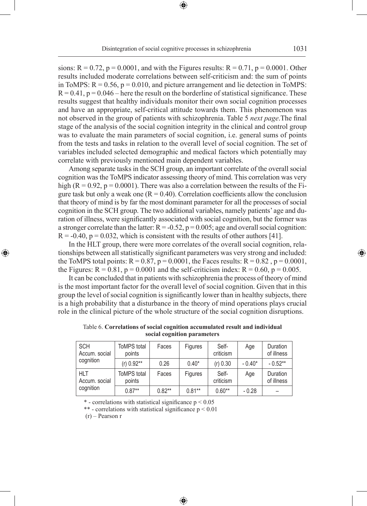sions:  $R = 0.72$ ,  $p = 0.0001$ , and with the Figures results:  $R = 0.71$ ,  $p = 0.0001$ . Other results included moderate correlations between self-criticism and: the sum of points in ToMPS:  $R = 0.56$ ,  $p = 0.010$ , and picture arrangement and lie detection in ToMPS:  $R = 0.41$ ,  $p = 0.046$  – here the result on the borderline of statistical significance. These results suggest that healthy individuals monitor their own social cognition processes and have an appropriate, self-critical attitude towards them. This phenomenon was not observed in the group of patients with schizophrenia. Table 5 *next page*.The final stage of the analysis of the social cognition integrity in the clinical and control group was to evaluate the main parameters of social cognition, i.e. general sums of points from the tests and tasks in relation to the overall level of social cognition. The set of variables included selected demographic and medical factors which potentially may correlate with previously mentioned main dependent variables.

Among separate tasks in the SCH group, an important correlate of the overall social cognition was the ToMPS indicator assessing theory of mind. This correlation was very high ( $R = 0.92$ ,  $p = 0.0001$ ). There was also a correlation between the results of the Figure task but only a weak one  $(R = 0.40)$ . Correlation coefficients allow the conclusion that theory of mind is by far the most dominant parameter for all the processes of social cognition in the SCH group. The two additional variables, namely patients' age and duration of illness, were significantly associated with social cognition, but the former was a stronger correlate than the latter:  $R = -0.52$ ,  $p = 0.005$ ; age and overall social cognition:  $R = -0.40$ ,  $p = 0.032$ , which is consistent with the results of other authors [41].

In the HLT group, there were more correlates of the overall social cognition, relationships between all statistically significant parameters was very strong and included: the ToMPS total points:  $R = 0.87$ ,  $p = 0.0001$ , the Faces results:  $R = 0.82$ ,  $p = 0.0001$ , the Figures:  $R = 0.81$ ,  $p = 0.0001$  and the self-criticism index:  $R = 0.60$ ,  $p = 0.005$ .

It can be concluded that in patients with schizophrenia the process of theory of mind is the most important factor for the overall level of social cognition. Given that in this group the level of social cognition is significantly lower than in healthy subjects, there is a high probability that a disturbance in the theory of mind operations plays crucial role in the clinical picture of the whole structure of the social cognition disruptions.

| <b>SCH</b><br>Accum, social | <b>ToMPS</b> total<br>points    | Faces    | <b>Figures</b> | Self-<br>criticism | Age       | Duration<br>of illness |  |
|-----------------------------|---------------------------------|----------|----------------|--------------------|-----------|------------------------|--|
| cognition                   | $(r)$ 0.92**<br>$0.40*$<br>0.26 |          | (r) 0.30       | $-0.40*$           | $-0.52**$ |                        |  |
| <b>HLT</b><br>Accum. social | <b>ToMPS</b> total<br>points    | Faces    | <b>Figures</b> | Self-<br>criticism | Age       |                        |  |
| cognition                   | $0.87**$                        | $0.82**$ | $0.81***$      | $0.60**$           | $-0.28$   |                        |  |

⊕

| Table 6. Correlations of social cognition accumulated result and individual |  |
|-----------------------------------------------------------------------------|--|
| social cognition parameters                                                 |  |

 $*$  - correlations with statistical significance  $p < 0.05$ 

\*\* - correlations with statistical significance  $p < 0.01$ 

(r) – Pearson r

◈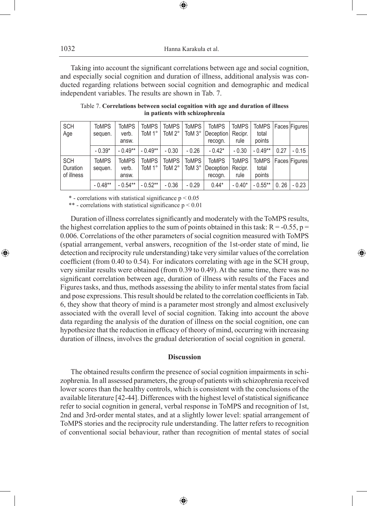Taking into account the significant correlations between age and social cognition, and especially social cognition and duration of illness, additional analysis was conducted regarding relations between social cognition and demographic and medical independent variables. The results are shown in Tab. 7.

⊕

| <b>SCH</b><br>Age                    | <b>ToMPS</b><br>sequen. | <b>ToMPS</b><br>verb.<br>answ. | <b>ToMPS</b><br>ToM 1° | <b>ToMPS</b><br>ToM $2^\circ$ | <b>ToMPS</b><br>ToM 3° | <b>ToMPS</b><br>Deception<br>recogn.        | <b>ToMPS</b><br>Recipr.<br>rule | ToMPS   Faces   Figures  <br>total<br>points |      |               |
|--------------------------------------|-------------------------|--------------------------------|------------------------|-------------------------------|------------------------|---------------------------------------------|---------------------------------|----------------------------------------------|------|---------------|
|                                      | $-0.39*$                | $-0.49**$                      | $-0.49**$              | $-0.30$                       | $-0.26$                | $-0.42*$                                    | $-0.30$                         | $-0.49**$                                    | 0.27 | $-0.15$       |
| <b>SCH</b><br>Duration<br>of illness | <b>ToMPS</b><br>sequen. | <b>ToMPS</b><br>verb.<br>answ. | <b>ToMPS</b><br>ToM 1° | <b>ToMPS</b><br>ToM 2°        | <b>ToMPS</b><br>ToM 3° | <b>ToMPS</b><br><b>Deception</b><br>recogn. | <b>ToMPS</b><br>Recipr.<br>rule | <b>ToMPS</b><br>total<br>points              |      | Faces Figures |
|                                      | $-0.48**$               | $-0.54**$                      | $-0.52**$              | $-0.36$                       | $-0.29$                | $0.44*$                                     | $-0.40*$                        | $-0.55***$                                   | 0.26 | $-0.23$       |

Table 7. **Correlations between social cognition with age and duration of illness in patients with schizophrenia**

 $*$  - correlations with statistical significance  $p < 0.05$ 

\*\* - correlations with statistical significance  $p < 0.01$ 

Duration of illness correlates significantly and moderately with the ToMPS results, the highest correlation applies to the sum of points obtained in this task:  $R = -0.55$ ,  $p =$ 0.006. Correlations of the other parameters of social cognition measured with ToMPS (spatial arrangement, verbal answers, recognition of the 1st-order state of mind, lie detection and reciprocity rule understanding) take very similar values of the correlation coefficient (from 0.40 to 0.54). For indicators correlating with age in the SCH group, very similar results were obtained (from 0.39 to 0.49). At the same time, there was no significant correlation between age, duration of illness with results of the Faces and Figures tasks, and thus, methods assessing the ability to infer mental states from facial and pose expressions. This result should be related to the correlation coefficients in Tab. 6, they show that theory of mind is a parameter most strongly and almost exclusively associated with the overall level of social cognition. Taking into account the above data regarding the analysis of the duration of illness on the social cognition, one can hypothesize that the reduction in efficacy of theory of mind, occurring with increasing duration of illness, involves the gradual deterioration of social cognition in general.

◈

# **Discussion**

The obtained results confirm the presence of social cognition impairments in schizophrenia. In all assessed parameters, the group of patients with schizophrenia received lower scores than the healthy controls, which is consistent with the conclusions of the available literature [42-44]. Differences with the highest level of statistical significance refer to social cognition in general, verbal response in ToMPS and recognition of 1st, 2nd and 3rd-order mental states, and at a slightly lower level: spatial arrangement of ToMPS stories and the reciprocity rule understanding. The latter refers to recognition of conventional social behaviour, rather than recognition of mental states of social

⊕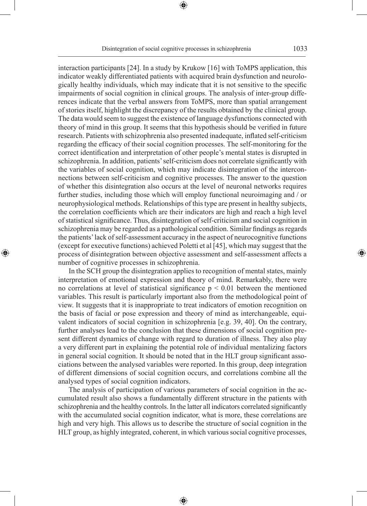Disintegration of social cognitive processes in schizophrenia 1033

⊕

interaction participants [24]. In a study by Krukow [16] with ToMPS application, this indicator weakly differentiated patients with acquired brain dysfunction and neurologically healthy individuals, which may indicate that it is not sensitive to the specific impairments of social cognition in clinical groups. The analysis of inter-group differences indicate that the verbal answers from ToMPS, more than spatial arrangement of stories itself, highlight the discrepancy of the results obtained by the clinical group. The data would seem to suggest the existence of language dysfunctions connected with theory of mind in this group. It seems that this hypothesis should be verified in future research. Patients with schizophrenia also presented inadequate, inflated self-criticism regarding the efficacy of their social cognition processes. The self-monitoring for the correct identification and interpretation of other people's mental states is disrupted in schizophrenia. In addition, patients' self-criticism does not correlate significantly with the variables of social cognition, which may indicate disintegration of the interconnections between self-criticism and cognitive processes. The answer to the question of whether this disintegration also occurs at the level of neuronal networks requires further studies, including those which will employ functional neuroimaging and / or neurophysiological methods. Relationships of this type are present in healthy subjects, the correlation coefficients which are their indicators are high and reach a high level of statistical significance. Thus, disintegration of self-criticism and social cognition in schizophrenia may be regarded as a pathological condition. Similar findings as regards the patients' lack of self-assessment accuracy in the aspect of neurocognitive functions (except for executive functions) achieved Poletti et al [45], which may suggest that the process of disintegration between objective assessment and self-assessment affects a number of cognitive processes in schizophrenia.

In the SCH group the disintegration applies to recognition of mental states, mainly interpretation of emotional expression and theory of mind. Remarkably, there were no correlations at level of statistical significance  $p \leq 0.01$  between the mentioned variables. This result is particularly important also from the methodological point of view. It suggests that it is inappropriate to treat indicators of emotion recognition on the basis of facial or pose expression and theory of mind as interchangeable, equivalent indicators of social cognition in schizophrenia [e.g. 39, 40]. On the contrary, further analyses lead to the conclusion that these dimensions of social cognition present different dynamics of change with regard to duration of illness. They also play a very different part in explaining the potential role of individual mentalizing factors in general social cognition. It should be noted that in the HLT group significant associations between the analysed variables were reported. In this group, deep integration of different dimensions of social cognition occurs, and correlations combine all the analysed types of social cognition indicators.

◈

The analysis of participation of various parameters of social cognition in the accumulated result also shows a fundamentally different structure in the patients with schizophrenia and the healthy controls. In the latter all indicators correlated significantly with the accumulated social cognition indicator, what is more, these correlations are high and very high. This allows us to describe the structure of social cognition in the HLT group, as highly integrated, coherent, in which various social cognitive processes,

⊕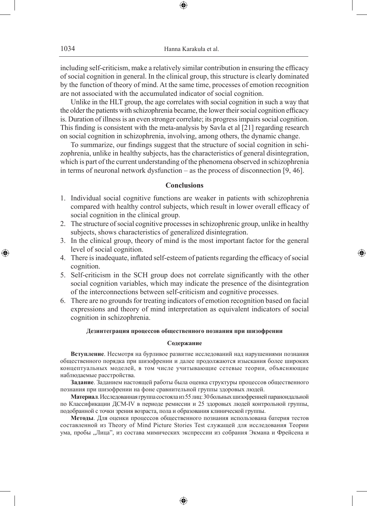including self-criticism, make a relatively similar contribution in ensuring the efficacy of social cognition in general. In the clinical group, this structure is clearly dominated by the function of theory of mind. At the same time, processes of emotion recognition are not associated with the accumulated indicator of social cognition.

Unlike in the HLT group, the age correlates with social cognition in such a way that the older the patients with schizophrenia became, the lower their social cognition efficacy is. Duration of illness is an even stronger correlate; its progress impairs social cognition. This finding is consistent with the meta-analysis by Savla et al [21] regarding research on social cognition in schizophrenia, involving, among others, the dynamic change.

To summarize, our findings suggest that the structure of social cognition in schizophrenia, unlike in healthy subjects, has the characteristics of general disintegration, which is part of the current understanding of the phenomena observed in schizophrenia in terms of neuronal network dysfunction – as the process of disconnection [9, 46].

## **Conclusions**

- 1. Individual social cognitive functions are weaker in patients with schizophrenia compared with healthy control subjects, which result in lower overall efficacy of social cognition in the clinical group.
- 2. The structure of social cognitive processes in schizophrenic group, unlike in healthy subjects, shows characteristics of generalized disintegration.
- 3. In the clinical group, theory of mind is the most important factor for the general level of social cognition.

◈

- 4. There is inadequate, inflated self-esteem of patients regarding the efficacy of social cognition.
- 5. Self-criticism in the SCH group does not correlate significantly with the other social cognition variables, which may indicate the presence of the disintegration of the interconnections between self-criticism and cognitive processes.
- 6. There are no grounds for treating indicators of emotion recognition based on facial expressions and theory of mind interpretation as equivalent indicators of social cognition in schizophrenia.

## **Дезинтеграция процессов общественного познания при шизофрении**

#### **Содержание**

**Вступление**. Несмотря на бурливое развитие исследований над нарушениями познания общественного порядка при шизофрении и далее продолжаются изыскания более широких концептуальных моделей, в том числе учитывающие сетевые теории, объясняющие наблюдаемые расстройства.

**Задание**. Заданием настоящей работы была оценка структуры процессов общественного познания при шизофрении на фоне сравнительной группы здоровых людей.

**Материал**. Исследованная группа состояла из 55 лиц: 30 больных шизофренией параноидальной по Классификации ДСМ-IV в периоде ремиссии и 25 здоровых людей контрольной группы, подобранной с точки зрения возраста, пола и образования клинической группы.

**Методы**. Для оценки процессов общественного познания использована батерия тестов составленной из Theory of Mind Picture Stories Test служащей для исследования Теории ума, пробы "Лица", из состава мимических экспрессии из собрания Экмана и Фрейсена и

♠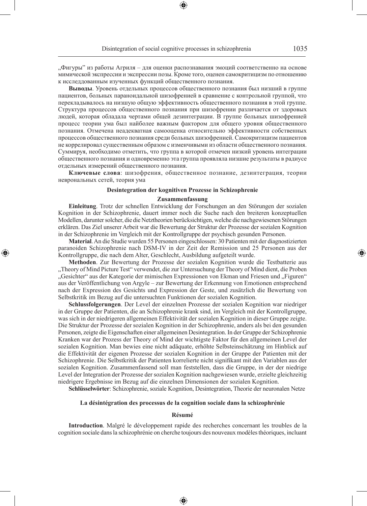"Фигуры" из работы Агриля – для оценки распознавания эмоций соответственно на основе мимической экспрессии и экспрессии позы. Кроме того, оценен самокритицизм по отношению к исследдованным изученных функций общественного познания.

**Выводы**. Уровень отдельных процессов общественного познания был низший в группе пациентов, больных параноидальной шизофренией в сравнение с контрольной группой, что перекладывалось на низшую общую эффективность общественного познания в этой группе. Структура процессов общественного познания при шизофрении различается от здоровых людей, которая обладала чертами общей дезинтеграции. В группе больных шизофренией процесс теории ума был найболее важным фактором для общего уровня общественного познания. Отмечена неадекватная самооценка относительно эффективности собственных процессов общественного познания среди больных шизофренией. Самокритицизм пациентов не коррелировал существенным образом с изменчивыми из области общественного познания. Суммируя, необходимо отметить, что группа в которой отмечен низкий уровень интеграции общественного познания и одновременно эта группа проявляла низшие результаты в радиусе отдельных измерений общественного познания.

**Ключевые слова**: шизофрения, общественное познание, дезинтеграция, теории неврональных сетей, теория ума

#### **Desintegration der kognitiven Prozesse in Schizophrenie**

#### **Zusammenfassung**

**Einleitung**. Trotz der schnellen Entwicklung der Forschungen an den Störungen der sozialen Kognition in der Schizophrenie, dauert immer noch die Suche nach den breiteren konzeptuellen Modellen, darunter solcher, die die Netztheorien berücksichtigen, welche die nachgewiesenen Störungen erklären. Das Ziel unserer Arbeit war die Bewertung der Struktur der Prozesse der sozialen Kognition in der Schizophrenie im Vergleich mit der Kontrollgruppe der psychisch gesunden Personen.

**Material**. An die Studie wurden 55 Personen eingeschlossen: 30 Patienten mit der diagnostizierten paranoiden Schizophrenie nach DSM-IV in der Zeit der Remission und 25 Personen aus der Kontrollgruppe, die nach dem Alter, Geschlecht, Ausbildung aufgeteilt wurde.

⊕

**Methoden**. Zur Bewertung der Prozesse der sozialen Kognition wurde die Testbatterie aus "Theory of Mind Picture Test" verwendet, die zur Untersuchung der Theory of Mind dient, die Proben "Gesichter" aus der Kategorie der mimischen Expressionen von Ekman und Friesen und "Figuren" aus der Veröffentlichung von Argyle – zur Bewertung der Erkennung von Emotionen entsprechend nach der Expression des Gesichts und Expression der Geste, und zusätzlich die Bewertung von Selbstkritik im Bezug auf die untersuchten Funktionen der sozialen Kognition.

**Schlussfolgerungen**. Der Level der einzelnen Prozesse der sozialen Kognition war niedriger in der Gruppe der Patienten, die an Schizophrenie krank sind, im Vergleich mit der Kontrollgruppe, was sich in der niedrigeren allgemeinen Effektivität der sozialen Kognition in dieser Gruppe zeigte. Die Struktur der Prozesse der sozialen Kognition in der Schizophrenie, anders als bei den gesunden Personen, zeigte die Eigenschaften einer allgemeinen Desintegration. In der Gruppe der Schizophrenie Kranken war der Prozess der Theory of Mind der wichtigste Faktor für den allgemeinen Level der sozialen Kognition. Man bewies eine nicht adäquate, erhöhte Selbsteinschätzung im Hinblick auf die Effektivität der eigenen Prozesse der sozialen Kognition in der Gruppe der Patienten mit der Schizophrenie. Die Selbstkritik der Patienten korrelierte nicht signifikant mit den Variablen aus der sozialen Kognition. Zusammenfassend soll man feststellen, dass die Gruppe, in der der niedrige Level der Integration der Prozesse der sozialen Kognition nachgewiesen wurde, erzielte gleichzeitig niedrigere Ergebnisse im Bezug auf die einzelnen Dimensionen der sozialen Kognition.

**Schlüsselwörter**: Schizophrenie, soziale Kognition, Desintegration, Theorie der neuronalen Netze

#### **La désintégration des processus de la cognition sociale dans la schizophrénie**

#### **Résumé**

**Introduction**. Malgré le développement rapide des recherches concernant les troubles de la cognition sociale dans la schizophrénie on cherche toujours des nouveaux modèles théoriques, incluant

♠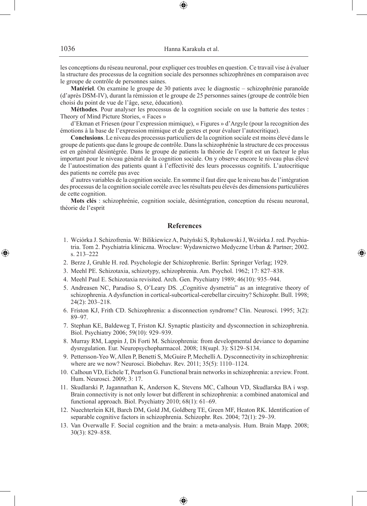les conceptions du réseau neuronal, pour expliquer ces troubles en question. Ce travail vise à évaluer la structure des processus de la cognition sociale des personnes schizophrènes en comparaison avec le groupe de contrôle de personnes saines.

**Matériel**. On examine le groupe de 30 patients avec le diagnostic – schizophrénie paranoïde (d'après DSM-IV), durant la rémission et le groupe de 25 personnes saines (groupe de contrôle bien choisi du point de vue de l'âge, sexe, éducation).

**Méthodes**. Pour analyser les processus de la cognition sociale on use la batterie des testes : Theory of Mind Picture Stories, « Faces »

d'Ekman et Friesen (pour l'expression mimique), « Figures » d'Argyle (pour la recognition des émotions à la base de l'expression mimique et de gestes et pour évaluer l'autocritique).

**Conclusions**. Le niveau des processus particuliers de la cognition sociale est moins élevé dans le groupe de patients que dans le groupe de contrôle. Dans la schizophrénie la structure de ces processus est en général désintégrée. Dans le groupe de patients la théorie de l'esprit est un facteur le plus important pour le niveau général de la cognition sociale. On y observe encore le niveau plus élevé de l'autoestimation des patients quant à l'effectivité des leurs processus cognitifs. L'autocritique des patients ne corrèle pas avec

d'autres variables de la cognition sociale. En somme il faut dire que le niveau bas de l'intégration des processus de la cognition sociale corrèle avec les résultats peu élevés des dimensions particulières de cette cognition.

**Mots clés** : schizophrénie, cognition sociale, désintégration, conception du réseau neuronal, théorie de l'esprit

## **References**

 1. Wciórka J. Schizofrenia. W: Bilikiewicz A, Pużyński S, Rybakowski J, Wciórka J. red. Psychiatria. Tom 2. Psychiatria kliniczna. Wrocław: Wydawnictwo Medyczne Urban & Partner; 2002. s. 213–222

◈

- 2. Berze J, Gruhle H. red. Psychologie der Schizophrenie. Berlin: Springer Verlag; 1929.
- 3. Meehl PE. Schizotaxia, schizotypy, schizophrenia. Am. Psychol. 1962; 17: 827–838.
- 4. Meehl Paul E. Schizotaxia revisited. Arch. Gen. Psychiatry 1989; 46(10): 935–944.
- 5. Andreasen NC, Paradiso S, O'Leary DS. "Cognitive dysmetria" as an integrative theory of schizophrenia. A dysfunction in cortical-subcortical-cerebellar circuitry? Schizophr. Bull. 1998; 24(2): 203–218.
- 6. Friston KJ, Frith CD. Schizophrenia: a disconnection syndrome? Clin. Neurosci. 1995; 3(2): 89–97.
- 7. Stephan KE, Baldeweg T, Friston KJ. Synaptic plasticity and dysconnection in schizophrenia. Biol. Psychiatry 2006; 59(10): 929–939.
- 8. Murray RM, Lappin J, Di Forti M. Schizophrenia: from developmental deviance to dopamine dysregulation. Eur. Neuropsychopharmacol. 2008; 18(supl. 3): S129–S134.
- 9. Pettersson-Yeo W, Allen P, Benetti S, McGuire P, Mechelli A. Dysconnectivity in schizophrenia: where are we now? Neurosci. Biobehav. Rev. 2011; 35(5): 1110–1124.
- 10. Calhoun VD, Eichele T, Pearlson G. Functional brain networks in schizophrenia: a review. Front. Hum. Neurosci. 2009; 3: 17.
- 11. Skudlarski P, Jagannathan K, Anderson K, Stevens MC, Calhoun VD, Skudlarska BA i wsp. Brain connectivity is not only lower but different in schizophrenia: a combined anatomical and functional approach. Biol. Psychiatry 2010; 68(1): 61–69.
- 12. Nuechterlein KH, Barch DM, Gold JM, Goldberg TE, Green MF, Heaton RK. Identification of separable cognitive factors in schizophrenia. Schizophr. Res. 2004; 72(1): 29–39.
- 13. Van Overwalle F. Social cognition and the brain: a meta-analysis. Hum. Brain Mapp. 2008; 30(3): 829–858.

⊕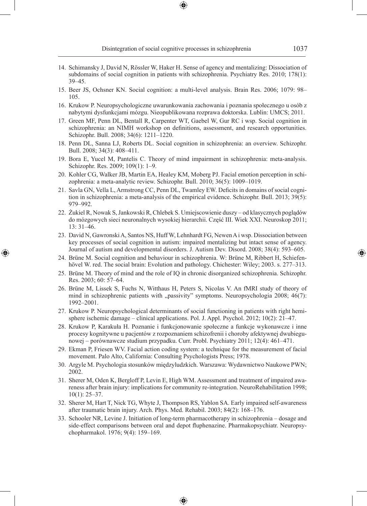- 14. Schimansky J, David N, Rössler W, Haker H. Sense of agency and mentalizing: Dissociation of subdomains of social cognition in patients with schizophrenia. Psychiatry Res. 2010; 178(1): 39–45.
- 15. Beer JS, Ochsner KN. Social cognition: a multi-level analysis. Brain Res. 2006; 1079: 98– 105.
- 16. Krukow P. Neuropsychologiczne uwarunkowania zachowania i poznania społecznego u osób z nabytymi dysfunkcjami mózgu. Nieopublikowana rozprawa doktorska. Lublin: UMCS; 2011.
- 17. Green MF, Penn DL, Bentall R, Carpenter WT, Gaebel W, Gur RC i wsp. Social cognition in schizophrenia: an NIMH workshop on definitions, assessment, and research opportunities. Schizophr. Bull. 2008; 34(6): 1211–1220.
- 18. Penn DL, Sanna LJ, Roberts DL. Social cognition in schizophrenia: an overview. Schizophr. Bull. 2008; 34(3): 408–411.
- 19. Bora E, Yucel M, Pantelis C. Theory of mind impairment in schizophrenia: meta-analysis. Schizophr. Res. 2009; 109(1): 1–9.
- 20. Kohler CG, Walker JB, Martin EA, Healey KM, Moberg PJ. Facial emotion perception in schizophrenia: a meta-analytic review. Schizophr. Bull. 2010; 36(5): 1009–1019.
- 21. Savla GN, Vella L, Armstrong CC, Penn DL, Twamley EW. Deficits in domains of social cognition in schizophrenia: a meta-analysis of the empirical evidence. Schizophr. Bull. 2013; 39(5): 979–992.
- 22. Żukiel R, Nowak S, Jankowski R, Chlebek S. Umiejscowienie duszy od klasycznych poglądów do mózgowych sieci neuronalnych wysokiej hierarchii. Część III. Wiek XXI. Neuroskop 2011; 13: 31–46.
- 23. David N, Gawronski A, Santos NS, Huff W, Lehnhardt FG, Newen A i wsp. Dissociation between key processes of social cognition in autism: impaired mentalizing but intact sense of agency. Journal of autism and developmental disorders. J. Autism Dev. Disord. 2008; 38(4): 593–605.
- 24. Brüne M. Social cognition and behaviour in schizophrenia. W: Brüne M, Ribbert H, Schiefenhövel W. red. The social brain: Evolution and pathology. Chichester: Wiley; 2003. s. 277–313.

◈

- 25. Brüne M. Theory of mind and the role of IQ in chronic disorganized schizophrenia. Schizophr. Res. 2003; 60: 57–64.
- 26. Brüne M, Lissek S, Fuchs N, Witthaus H, Peters S, Nicolas V. An fMRI study of theory of mind in schizophrenic patients with "passivity" symptoms. Neuropsychologia 2008; 46(7): 1992–2001.
- 27. Krukow P. Neuropsychological determinants of social functioning in patients with right hemisphere ischemic damage – clinical applications. Pol. J. Appl. Psychol. 2012; 10(2): 21–47.
- 28. Krukow P, Karakuła H. Poznanie i funkcjonowanie społeczne a funkcje wykonawcze i inne procesy kognitywne u pacjentów z rozpoznaniem schizofrenii i choroby afektywnej dwubiegunowej – porównawcze studium przypadku. Curr. Probl. Psychiatry 2011; 12(4): 461–471.
- 29. Ekman P, Friesen WV. Facial action coding system: a technique for the measurement of facial movement. Palo Alto, California: Consulting Psychologists Press; 1978.
- 30. Argyle M. Psychologia stosunków międzyludzkich. Warszawa: Wydawnictwo Naukowe PWN; 2002.
- 31. Sherer M, Oden K, Bergloff P, Levin E, High WM. Assessment and treatment of impaired awareness after brain injury: implications for community re-integration. NeuroRehabilitation 1998; 10(1): 25–37.
- 32. Sherer M, Hart T, Nick TG, Whyte J, Thompson RS, Yablon SA. Early impaired self-awareness after traumatic brain injury. Arch. Phys. Med. Rehabil. 2003; 84(2): 168–176.
- 33. Schooler NR, Levine J. Initiation of long-term pharmacotherapy in schizophrenia dosage and side-effect comparisons between oral and depot fluphenazine. Pharmakopsychiatr. Neuropsychopharmakol. 1976; 9(4): 159–169.

♠